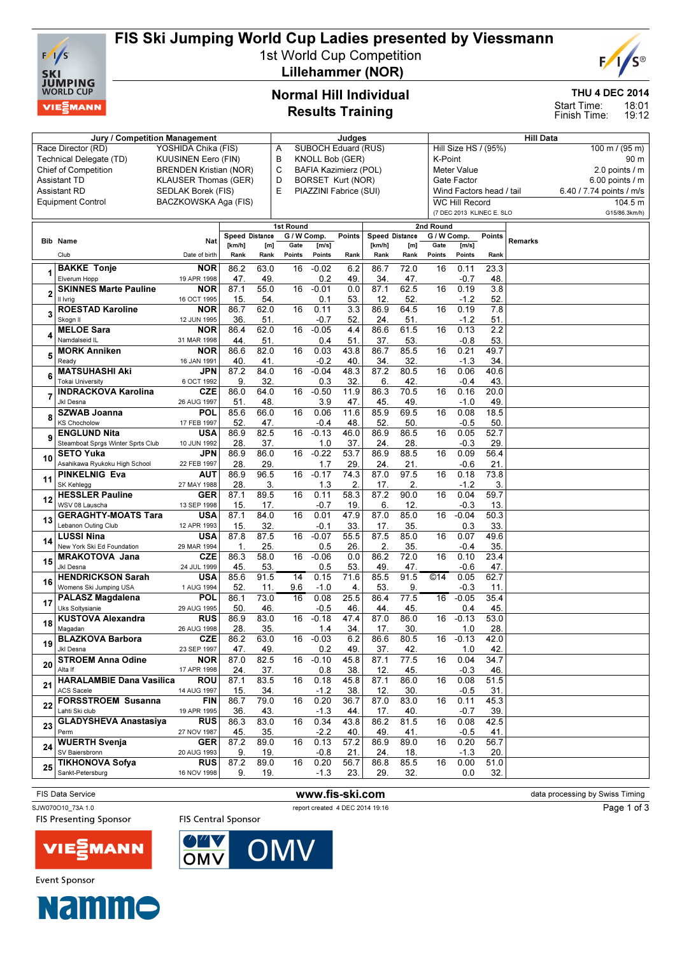

## FIS Ski Jumping World Cup Ladies presented by Viessmann

1st World Cup Competition Lillehammer (NOR)



THU 4 DEC 2014

18:01 19:12 Start Time: Finish Time:

### Normal Hill Individual Results Training

|    | Jury / Competition Management                         |                               | Judges                |             |                                 |                       |             |                | <b>Hill Data</b> |                           |                                                  |                  |         |                          |                     |  |
|----|-------------------------------------------------------|-------------------------------|-----------------------|-------------|---------------------------------|-----------------------|-------------|----------------|------------------|---------------------------|--------------------------------------------------|------------------|---------|--------------------------|---------------------|--|
|    | Race Director (RD)                                    | YOSHIDA Chika (FIS)           |                       |             | <b>SUBOCH Eduard (RUS)</b><br>Α |                       |             |                |                  |                           | Hill Size HS / (95%)<br>$100 \text{ m}$ / (95 m) |                  |         |                          |                     |  |
|    | Technical Delegate (TD)                               | <b>KUUSINEN Eero (FIN)</b>    |                       |             | В                               | KNOLL Bob (GER)       |             |                |                  | K-Point<br>90 m           |                                                  |                  |         |                          |                     |  |
|    | <b>Chief of Competition</b>                           | <b>BRENDEN Kristian (NOR)</b> |                       |             | С                               | BAFIA Kazimierz (POL) |             |                |                  |                           | <b>Meter Value</b><br>2.0 points / m             |                  |         |                          |                     |  |
|    | <b>Assistant TD</b>                                   | <b>KLAUSER Thomas (GER)</b>   |                       |             | D                               | BORSET Kurt (NOR)     |             |                |                  | Gate Factor               |                                                  |                  |         |                          | $6.00$ points $/$ m |  |
|    | <b>Assistant RD</b>                                   | <b>SEDLAK Borek (FIS)</b>     |                       | Е           | PIAZZINI Fabrice (SUI)          |                       |             |                |                  | Wind Factors head / tail  |                                                  |                  |         | 6.40 / 7.74 points / m/s |                     |  |
|    | <b>Equipment Control</b>                              | BACZKOWSKA Aga (FIS)          |                       |             |                                 |                       |             |                |                  | <b>WC Hill Record</b>     |                                                  |                  |         | 104.5 m                  |                     |  |
|    |                                                       |                               |                       |             |                                 |                       |             |                |                  | (7 DEC 2013 KLINEC E. SLO |                                                  |                  |         | G15/86.3km/h)            |                     |  |
|    |                                                       |                               |                       |             | 1st Round                       |                       |             |                |                  | 2nd Round                 |                                                  |                  |         |                          |                     |  |
|    | <b>Bib Name</b>                                       | Nat                           | <b>Speed Distance</b> |             | G / W Comp.                     |                       | Points      | Speed Distance |                  | G / W Comp.               |                                                  | Points           | Remarks |                          |                     |  |
|    |                                                       |                               | [km/h]                | [m]         | Gate                            | [m/s]                 |             | [km/h]         | [m]              | Gate                      | [m/s]                                            |                  |         |                          |                     |  |
|    | Club                                                  | Date of birth                 | Rank                  | Rank        | Points                          | Points                | Rank        | Rank           | Rank             | Points                    | Points                                           | Rank             |         |                          |                     |  |
|    | <b>BAKKE Tonje</b>                                    | <b>NOR</b>                    | 86.2                  | 63.0        | 16                              | $-0.02$               | 6.2         | 86.7           | 72.0             | 16                        | 0.11                                             | 23.3             |         |                          |                     |  |
|    | Elverum Hopp                                          | 19 APR 1998                   | 47.                   | 49.         |                                 | 0.2                   | 49.         | 34.            | 47.              |                           | $-0.7$                                           | 48.              |         |                          |                     |  |
| 2  | <b>SKINNES Marte Pauline</b>                          | <b>NOR</b>                    | 87.1                  | 55.0        | 16                              | $-0.01$               | 0.0         | 87.1           | 62.5             | 16                        | 0.19                                             | $\overline{3.8}$ |         |                          |                     |  |
|    | Il Ivrig                                              | 16 OCT 1995                   | 15.                   | 54.         |                                 | 0.1                   | 53.         | 12.            | 52.              |                           | $-1.2$                                           | 52.              |         |                          |                     |  |
| 3  | <b>ROESTAD Karoline</b>                               | <b>NOR</b>                    | 86.7                  | 62.0        | 16                              | 0.11                  | 3.3         | 86.9           | 64.5             | 16                        | 0.19                                             | 7.8              |         |                          |                     |  |
|    | Skogn II<br><b>MELOE Sara</b>                         | 12 JUN 1995<br><b>NOR</b>     | 36.<br>86.4           | 51.<br>62.0 | 16                              | -0.7<br>$-0.05$       | 52<br>4.4   | 24.<br>86.6    | 51.<br>61.5      | 16                        | $-1.2$<br>0.13                                   | 51.<br>2.2       |         |                          |                     |  |
|    | Namdalseid IL                                         | 31 MAR 1998                   | 44.                   | 51.         |                                 | 0.4                   | 51.         | 37.            | 53.              |                           | $-0.8$                                           | 53.              |         |                          |                     |  |
|    | <b>MORK Anniken</b>                                   | <b>NOR</b>                    | 86.6                  | 82.0        | 16                              | 0.03                  | 43.8        | 86.7           | 85.5             | 16                        | 0.21                                             | 49.7             |         |                          |                     |  |
| 5  | Ready                                                 | 16 JAN 1991                   | 40                    | 41.         |                                 | $-0.2$                | 40          | 34             | 32.              |                           | $-1.3$                                           | 34.              |         |                          |                     |  |
|    | <b>MATSUHASHI Aki</b>                                 | JPN                           | 87.2                  | 84.0        | 16                              | $-0.04$               | 48.3        | 87.2           | 80.5             | 16                        | 0.06                                             | 40.6             |         |                          |                     |  |
| 6  | <b>Tokai University</b>                               | 6 OCT 1992                    | 9.                    | 32.         |                                 | 0.3                   | 32          | 6.             | 42.              |                           | $-0.4$                                           | 43.              |         |                          |                     |  |
|    | <b>INDRACKOVA Karolina</b>                            | <b>CZE</b>                    | 86.0                  | 64.0        | 16                              | $-0.50$               | 11.9        | 86.3           | 70.5             | 16                        | 0.16                                             | 20.0             |         |                          |                     |  |
|    | Jkl Desna                                             | 26 AUG 1997                   | 51.                   | 48.         |                                 | 3.9                   | 47          | 45             | 49.              |                           | $-1.0$                                           | 49.              |         |                          |                     |  |
| 8  | <b>SZWAB Joanna</b>                                   | <b>POL</b>                    | 85.6                  | 66.0        | 16                              | 0.06                  | 11.6        | 85.9           | 69.5             | 16                        | 0.08                                             | 18.5             |         |                          |                     |  |
|    | <b>KS Chocholow</b>                                   | 17 FEB 1997                   | 52.                   | 47.         |                                 | -0.4                  | 48          | 52             | 50.              |                           | $-0.5$                                           | 50.              |         |                          |                     |  |
|    | <b>ENGLUND Nita</b>                                   | <b>USA</b>                    | 86.9                  | 82.5        | 16                              | $-0.13$               | 46.0        | 86.9           | 86.5             | 16                        | 0.05                                             | 52.7             |         |                          |                     |  |
|    | Steamboat Sprgs Winter Sprts Club                     | 10 JUN 1992                   | 28.                   | 37.         |                                 | 1.0                   | 37          | 24.            | 28.              |                           | $-0.3$                                           | 29.              |         |                          |                     |  |
| 10 | <b>SETO Yuka</b>                                      | JPN                           | 86.9                  | 86.0        | 16                              | $-0.22$               | 53.7        | 86.9           | 88.5             | 16                        | 0.09                                             | 56.4             |         |                          |                     |  |
|    | Asahikawa Ryukoku High School<br><b>PINKELNIG Eva</b> | 22 FEB 1997<br><b>AUT</b>     | 28.<br>86.9           | 29.<br>96.5 | 16                              | 1.7<br>$-0.17$        | 29<br>74.3  | 24.<br>87.0    | 21.<br>97.5      | 16                        | $-0.6$<br>0.18                                   | 21.<br>73.8      |         |                          |                     |  |
| 11 | SK Kehlegg                                            | 27 MAY 1988                   | 28.                   | 3.          |                                 | 1.3                   | 2.          | 17.            | 2.               |                           | $-1.2$                                           | 3.               |         |                          |                     |  |
|    | <b>HESSLER Pauline</b>                                | <b>GER</b>                    | 87.1                  | 89.5        | 16                              | 0.11                  | 58.3        | 87.2           | 90.0             | 16                        | 0.04                                             | 59.7             |         |                          |                     |  |
| 12 | WSV 08 Lauscha                                        | 13 SEP 1998                   | 15.                   | 17.         |                                 | $-0.7$                | 19.         | 6.             | 12.              |                           | $-0.3$                                           | 13.              |         |                          |                     |  |
|    | <b>GERAGHTY-MOATS Tara</b>                            | <b>USA</b>                    | 87.1                  | 84.0        | 16                              | 0.01                  | 47.9        | 87.0           | 85.0             | 16                        | $-0.04$                                          | 50.3             |         |                          |                     |  |
| 13 | Lebanon Outing Club                                   | 12 APR 1993                   | 15.                   | 32.         |                                 | -0.1                  | 33          | 17.            | 35.              |                           | 0.3                                              | 33.              |         |                          |                     |  |
| 14 | <b>LUSSI Nina</b>                                     | <b>USA</b>                    | 87.8                  | 87.5        | 16                              | $-0.07$               | 55.5        | 87.5           | 85.0             | 16                        | 0.07                                             | 49.6             |         |                          |                     |  |
|    | New York Ski Ed Foundation                            | 29 MAR 1994                   | 1.                    | 25.         |                                 | 0.5                   | 26          | 2.             | 35.              |                           | $-0.4$                                           | 35.              |         |                          |                     |  |
| 15 | <b>MRAKOTOVA Jana</b>                                 | <b>CZE</b>                    | 86.3                  | 58.0        | 16                              | $-0.06$               | 0.0         | 86.2           | 72.0             | 16                        | 0.10                                             | 23.4             |         |                          |                     |  |
|    | Jkl Desna                                             | 24 JUL 1999                   | 45.                   | 53.         |                                 | 0.5                   | 53.         | 49             | 47.              |                           | $-0.6$                                           | 47.              |         |                          |                     |  |
| 16 | <b>HENDRICKSON Sarah</b>                              | <b>USA</b>                    | 85.6                  | 91.5        | 14                              | 0.15                  | 71.6        | 85.5           | 91.5             | ©14                       | 0.05                                             | 62.7             |         |                          |                     |  |
|    | Womens Ski Jumping USA<br><b>PALASZ Magdalena</b>     | 1 AUG 1994<br><b>POL</b>      | 52.<br>86.1           | 11.<br>73.0 | 9.6<br>16                       | $-1.0$<br>0.08        | 4.<br>25.5  | 53.<br>86.4    | 9.<br>77.5       | 16                        | $-0.3$<br>$-0.05$                                | 11.<br>35.4      |         |                          |                     |  |
| 17 | Uks Soltysianie                                       | 29 AUG 1995                   | 50                    | 46.         |                                 | -0.5                  | 46          | 44.            | 45.              |                           | 0.4                                              | 45.              |         |                          |                     |  |
|    | <b>KUSTOVA Alexandra</b>                              | <b>RUS</b>                    | 86.9                  | 83.0        | 16                              | $-0.18$               | 47.4        | 87.0           | 86.0             | 16                        | $-0.13$                                          | 53.0             |         |                          |                     |  |
| 18 | Magadan                                               | 26 AUG 1998                   | 28.                   | 35.         |                                 | 1.4                   | 34.         | 17.            | 30.              |                           | 1.0                                              | 28.              |         |                          |                     |  |
|    | <b>BLAZKOVA Barbora</b>                               | <b>CZE</b>                    | 86.2                  | 63.0        | 16                              | $-0.03$               | 6.2         | 86.6           | 80.5             | 16                        | $-0.13$                                          | 42.0             |         |                          |                     |  |
| 19 | Jkl Desna                                             | 23 SEP 1997                   | 47.                   | 49.         |                                 | 0.2                   | 49.         | 37.            | 42.              |                           | 1.0                                              | 42.              |         |                          |                     |  |
| 20 | <b>STROEM Anna Odine</b>                              | <b>NOR</b>                    | 87.0                  | 82.5        | 16                              | $-0.10$               | 45.8        | 87.1           | 77.5             | 16                        | 0.04                                             | 34.7             |         |                          |                     |  |
|    | Alta If                                               | 17 APR 1998                   | 24.                   | 37.         |                                 | 0.8                   | 38.         | 12.            | 45.              |                           | $-0.3$                                           | 46.              |         |                          |                     |  |
| 21 | <b>HARALAMBIE Dana Vasilica</b>                       | <b>ROU</b>                    | 87.1                  | 83.5        | 16                              | 0.18                  | 45.8        | 87.1           | 86.0             | 16                        | 0.08                                             | 51.5             |         |                          |                     |  |
|    | <b>ACS Sacele</b>                                     | 14 AUG 1997                   | 15.                   | 34.         |                                 | $-1.2$                | 38.         | 12.            | 30.              |                           | $-0.5$                                           | 31.              |         |                          |                     |  |
| 22 | <b>FORSSTROEM Susanna</b>                             | <b>FIN</b>                    | 86.7                  | 79.0        | 16                              | 0.20                  | 36.7        | 87.0           | 83.0             | 16                        | 0.11                                             | 45.3             |         |                          |                     |  |
|    | Lahti Ski club<br><b>GLADYSHEVA Anastasiya</b>        | 19 APR 1995<br><b>RUS</b>     | 36.<br>86.3           | 43.<br>83.0 | 16                              | $-1.3$<br>0.34        | 44.<br>43.8 | 17.<br>86.2    | 40.<br>81.5      | 16                        | $-0.7$<br>0.08                                   | 39.<br>42.5      |         |                          |                     |  |
| 23 | Perm                                                  | 27 NOV 1987                   | 45.                   | 35.         |                                 | $-2.2$                | 40.         | 49.            | 41.              |                           | $-0.5$                                           | 41.              |         |                          |                     |  |
|    | <b>WUERTH Svenja</b>                                  | <b>GER</b>                    | 87.2                  | 89.0        | 16                              | 0.13                  | 57.2        | 86.9           | 89.0             | 16                        | 0.20                                             | 56.7             |         |                          |                     |  |
| 24 | SV Baiersbronn                                        | 20 AUG 1993                   | 9.                    | 19.         |                                 | $-0.8$                | 21.         | 24.            | 18.              |                           | $-1.3$                                           | 20.              |         |                          |                     |  |
|    | <b>TIKHONOVA Sofya</b>                                | <b>RUS</b>                    | 87.2                  | 89.0        | 16                              | 0.20                  | 56.7        | 86.8           | 85.5             | 16                        | 0.00                                             | 51.0             |         |                          |                     |  |
| 25 | Sankt-Petersburg                                      | 16 NOV 1998                   | 9.                    | 19.         |                                 | $-1.3$                | 23.         | 29.            | 32.              |                           | 0.0                                              | 32.              |         |                          |                     |  |
|    |                                                       |                               |                       |             |                                 |                       |             |                |                  |                           |                                                  |                  |         |                          |                     |  |

**FIS Presenting Sponsor** 



FIS Data Service **www.fis-ski.com** data processing by Swiss Timing

Page 1 of 3





**FIS Central Sponsor** 



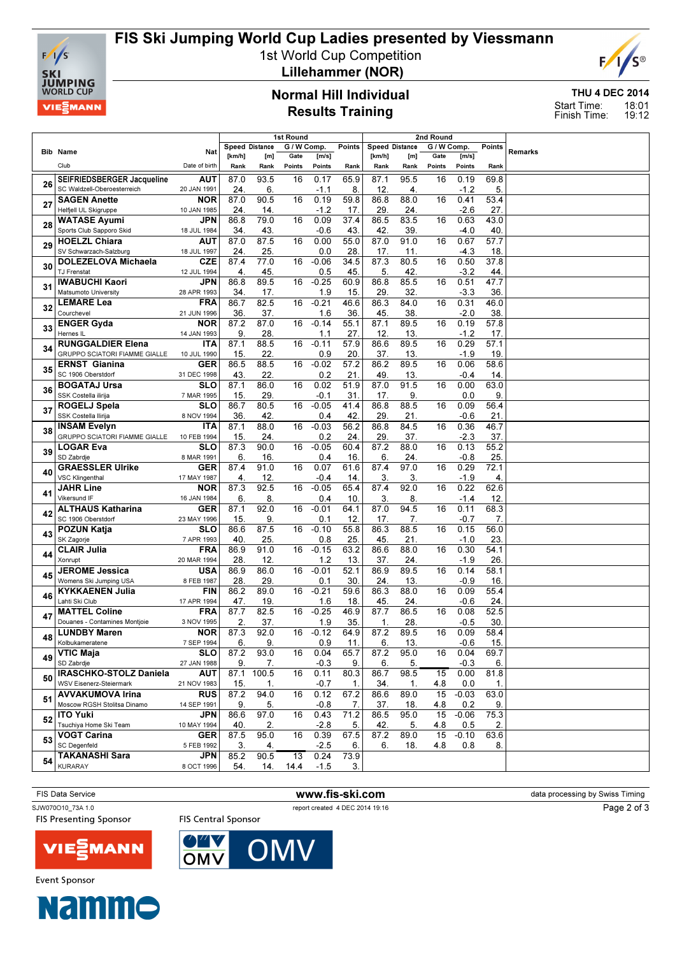

## FIS Ski Jumping World Cup Ladies presented by Viessmann

1st World Cup Competition



Lillehammer (NOR)

#### Normal Hill Individual Results Training

THU 4 DEC 2014 18:01 19:12 Start Time: Finish Time:

|    |                                                  | 1st Round                              |                |             |             |                   |             | 2nd Round      |             |             |                |             |                |  |
|----|--------------------------------------------------|----------------------------------------|----------------|-------------|-------------|-------------------|-------------|----------------|-------------|-------------|----------------|-------------|----------------|--|
|    | <b>Bib Name</b>                                  | Nat                                    | Speed Distance |             | G / W Comp. |                   | Points      | Speed Distance |             | G / W Comp. |                | Points      | <b>Remarks</b> |  |
|    |                                                  |                                        | [km/h]         | [m]         | Gate        | [m/s]             |             | [km/h]         | [m]         | Gate        | [m/s]          |             |                |  |
|    | Club                                             | Date of birth                          | Rank           | Rank        | Points      | Points            | Rank        | Rank           | Rank        | Points      | Points         | Rank        |                |  |
| 26 | SEIFRIEDSBERGER Jacqueline                       | <b>AUT</b>                             | 87.0           | 93.5        | 16          | 0.17              | 65.9        | 87.1           | 95.5        | 16          | 0.19           | 69.8        |                |  |
|    | SC Waldzell-Oberoesterreich                      | 20 JAN 1991                            | 24.            | 6.          |             | $-1.1$            | 8.          | 12             | 4.          |             | $-1.2$         | 5.          |                |  |
| 27 | <b>SAGEN Anette</b>                              | <b>NOR</b>                             | 87.0           | 90.5        | 16          | 0.19              | 59.8        | 86.8           | 88.0        | 16          | 0.41           | 53.4        |                |  |
|    | Helfjell UL Skigruppe                            | 10 JAN 1985                            | 24.            | 14.         |             | $-1.2$            | 17          | 29             | 24.         |             | $-2.6$         | 27.         |                |  |
| 28 | <b>WATASE Ayumi</b>                              | <b>JPN</b>                             | 86.8           | 79.0        | 16          | 0.09              | 37.4        | 86.5           | 83.5        | 16          | 0.63           | 43.0        |                |  |
|    | Sports Club Sapporo Skid<br><b>HOELZL Chiara</b> | 18 JUL 1984<br><b>AUT</b>              | 34.<br>87.0    | 43.<br>87.5 | 16          | $-0.6$<br>0.00    | 43.<br>55.0 | 42<br>87.0     | 39.<br>91.0 | 16          | $-4.0$<br>0.67 | 40.<br>57.7 |                |  |
| 29 | SV Schwarzach-Salzburg                           | 18 JUL 1997                            | 24.            | 25.         |             | 0.0               | 28          | 17.            | 11.         |             | -4.3           | 18.         |                |  |
|    | <b>DOLEZELOVA Michaela</b>                       | <b>CZE</b>                             | 87.4           | 77.0        | 16          | $-0.06$           | 34.5        | 87.3           | 80.5        | 16          | 0.50           | 37.8        |                |  |
| 30 | TJ Frenstat                                      | 12 JUL 1994                            | 4.             | 45.         |             | 0.5               | 45          | 5              | 42.         |             | $-3.2$         | 44.         |                |  |
|    | <b>IWABUCHI Kaori</b>                            | <b>JPN</b>                             | 86.8           | 89.5        | 16          | $-0.25$           | 60.9        | 86.8           | 85.5        | 16          | 0.51           | 47.7        |                |  |
| 31 | Matsumoto University                             | 28 APR 1993                            | 34.            | 17.         |             | 1.9               | 15          | 29             | 32.         |             | $-3.3$         | 36.         |                |  |
|    | <b>LEMARE Lea</b>                                | <b>FRA</b>                             | 86.7           | 82.5        | 16          | $-0.21$           | 46.6        | 86.3           | 84.0        | 16          | 0.31           | 46.0        |                |  |
| 32 | Courchevel                                       | 21 JUN 1996                            | 36.            | 37.         |             | 1.6               | 36          | 45             | 38.         |             | $-2.0$         | 38.         |                |  |
| 33 | <b>ENGER Gyda</b>                                | <b>NOR</b>                             | 87.2           | 87.0        | 16          | $-0.14$           | 55.1        | 87.1           | 89.5        | 16          | 0.19           | 57.8        |                |  |
|    | Hernes IL                                        | 14 JAN 1993                            | 9.             | 28.         |             | 1.1               | 27.         | 12.            | 13.         |             | $-1.2$         | 17.         |                |  |
| 34 | <b>RUNGGALDIER Elena</b>                         | <b>ITA</b>                             | 87.1           | 88.5        | 16          | $-0.11$           | 57.9        | 86.6           | 89.5        | 16          | 0.29           | 57.1        |                |  |
|    | GRUPPO SCIATORI FIAMME GIALLE                    | 10 JUL 1990                            | 15.            | 22.         |             | 0.9               | 20          | 37.            | 13.         |             | $-1.9$         | 19.         |                |  |
| 35 | <b>ERNST Gianina</b>                             | <b>GER</b>                             | 86.5           | 88.5        | 16          | $-0.02$           | 57.2        | 86.2           | 89.5        | 16          | 0.06           | 58.6        |                |  |
|    | SC 1906 Oberstdorf                               | 31 DEC 1998<br>$\overline{\text{SLO}}$ | 43.            | 22.<br>86.0 |             | 0.2<br>0.02       | 21.<br>51.9 | 49<br>87.0     | 13.<br>91.5 |             | -0.4<br>0.00   | 14.<br>63.0 |                |  |
| 36 | <b>BOGATAJ Ursa</b><br>SSK Costella ilirija      |                                        | 87.1           |             | 16          |                   |             |                |             | 16          |                |             |                |  |
|    | <b>ROGELJ Spela</b>                              | 7 MAR 1995<br><b>SLO</b>               | 15.<br>86.7    | 29.<br>80.5 | 16          | $-0.1$<br>$-0.05$ | 31<br>41.4  | 17<br>86.8     | 9<br>88.5   | 16          | 0.0<br>0.09    | 9.<br>56.4  |                |  |
| 37 | SSK Costella Ilirija                             | 8 NOV 1994                             | 36.            | 42.         |             | 0.4               | 42          | 29             | 21.         |             | $-0.6$         | 21.         |                |  |
|    | <b>INSAM Evelyn</b>                              | <b>ITA</b>                             | 87.1           | 88.0        | 16          | $-0.03$           | 56.2        | 86.8           | 84.5        | 16          | 0.36           | 46.7        |                |  |
| 38 | <b>GRUPPO SCIATORI FIAMME GIALLE</b>             | 10 FEB 1994                            | 15.            | 24.         |             | 0.2               | 24          | 29             | 37.         |             | $-2.3$         | 37.         |                |  |
|    | <b>LOGAR Eva</b>                                 | <b>SLO</b>                             | 87.3           | 90.0        | 16          | $-0.05$           | 60.4        | 87.2           | 88.0        | 16          | 0.13           | 55.2        |                |  |
| 39 | SD Zabrdje                                       | 8 MAR 1991                             | 6.             | 16.         |             | 0.4               | 16          | 6.             | 24.         |             | $-0.8$         | 25.         |                |  |
| 40 | <b>GRAESSLER Ulrike</b>                          | <b>GER</b>                             | 87.4           | 91.0        | 16          | 0.07              | 61.6        | 87.4           | 97.0        | 16          | 0.29           | 72.1        |                |  |
|    | <b>VSC Klingenthal</b>                           | 17 MAY 1987                            | 4.             | 12.         |             | $-0.4$            | 14          | 3.             | 3.          |             | $-1.9$         | 4.          |                |  |
| 41 | <b>JAHR Line</b>                                 | <b>NOR</b>                             | 87.3           | 92.5        | 16          | $-0.05$           | 65.4        | 87.4           | 92.0        | 16          | 0.22           | 62.6        |                |  |
|    | <b>Vikersund IF</b>                              | 16 JAN 1984                            | 6.             | 8.          |             | 0.4               | 10          | 3.             | 8.          |             | $-1.4$         | 12.         |                |  |
| 42 | <b>ALTHAUS Katharina</b>                         | <b>GER</b>                             | 87.1           | 92.0        | 16          | $-0.01$           | 64.1        | 87.0           | 94.5        | 16          | 0.11           | 68.3        |                |  |
|    | SC 1906 Oberstdorf                               | 23 MAY 1996<br><b>SLO</b>              | 15.<br>86.6    | 9.<br>87.5  | 16          | 0.1<br>$-0.10$    | 12.<br>55.8 | 17.<br>86.3    | 7.<br>88.5  | 16          | $-0.7$<br>0.15 | 7.<br>56.0  |                |  |
| 43 | <b>POZUN Katja</b><br>SK Zagorje                 | 7 APR 1993                             | 40.            | 25.         |             | 0.8               | 25          | 45             | 21.         |             | $-1.0$         | 23.         |                |  |
|    | <b>CLAIR Julia</b>                               | <b>FRA</b>                             | 86.9           | 91.0        | 16          | $-0.15$           | 63.2        | 86.6           | 88.0        | 16          | 0.30           | 54.1        |                |  |
| 44 | Xonrupt                                          | 20 MAR 1994                            | 28.            | 12.         |             | 1.2               | 13.         | 37.            | 24.         |             | $-1.9$         | 26.         |                |  |
|    | <b>JEROME Jessica</b>                            | <b>USA</b>                             | 86.9           | 86.0        | 16          | $-0.01$           | 52.1        | 86.9           | 89.5        | 16          | 0.14           | 58.1        |                |  |
| 45 | Womens Ski Jumping USA                           | 8 FEB 1987                             | 28.            | 29.         |             | 0.1               | 30          | 24             | 13.         |             | $-0.9$         | 16.         |                |  |
| 46 | <b>KYKKAENEN Julia</b>                           | <b>FIN</b>                             | 86.2           | 89.0        | 16          | $-0.21$           | 59.6        | 86.3           | 88.0        | 16          | 0.09           | 55.4        |                |  |
|    | Lahti Ski Club                                   | 17 APR 1994                            | 47.            | 19.         |             | 1.6               | 18.         | 45             | 24.         |             | $-0.6$         | 24.         |                |  |
| 47 | <b>MATTEL Coline</b>                             | <b>FRA</b>                             | 87.7           | 82.5        | 16          | $-0.25$           | 46.9        | 87.7           | 86.5        | 16          | 0.08           | 52.5        |                |  |
|    | Douanes - Contamines Montjoie                    | 3 NOV 1995                             | 2.             | 37.         |             | 1.9               | 35          | 1.             | 28.         |             | $-0.5$         | 30.         |                |  |
| 48 | <b>LUNDBY Maren</b>                              | <b>NOR</b>                             | 87.3           | 92.0        | 16          | $-0.12$           | 64.9        | 87.2           | 89.5        | 16          | 0.09           | 58.4        |                |  |
|    | Kolbukameratene                                  | 7 SEP 1994                             | 6.             | 9.          |             | 0.9               | 11.         | 6.             | 13.         |             | $-0.6$         | 15.         |                |  |
| 49 | <b>VTIC Maja</b><br>SD Zabrdje                   | <b>SLO</b>                             | 87.2           | 93.0        | 16          | 0.04              | 65.7        | 87.2           | 95.0        | 16          | 0.04           | 69.7        |                |  |
|    | <b>IRASCHKO-STOLZ Daniela</b>                    | 27 JAN 1988<br><b>AUT</b>              | 9.<br>87.1     | 7.<br>100.5 | 16          | $-0.3$<br>0.11    | 9.<br>80.3  | 6.<br>86.7     | 5.<br>98.5  | 15          | $-0.3$<br>0.00 | 6.<br>81.8  |                |  |
| 50 | WSV Eisenerz-Steiermark                          | 21 NOV 1983                            | 15.            | 1.          |             | -0.7              | 1.          | 34.            | 1.          | 4.8         | 0.0            | 1.          |                |  |
|    | <b>AVVAKUMOVA Irina</b>                          | <b>RUS</b>                             | 87.2           | 94.0        | 16          | 0.12              | 67.2        | 86.6           | 89.0        | 15          | $-0.03$        | 63.0        |                |  |
| 51 | Moscow RGSH Stolitsa Dinamo                      | 14 SEP 1991                            | 9.             | 5.          |             | $-0.8$            | 7.          | 37.            | 18.         | 4.8         | 0.2            | 9.          |                |  |
|    | <b>ITO Yuki</b>                                  | <b>JPN</b>                             | 86.6           | 97.0        | 16          | 0.43              | 71.2        | 86.5           | 95.0        | 15          | $-0.06$        | 75.3        |                |  |
| 52 | Tsuchiya Home Ski Team                           | 10 MAY 1994                            | 40.            | 2.          |             | -2.8              | 5.          | 42.            | 5.          | 4.8         | 0.5            | 2.          |                |  |
| 53 | <b>VOGT Carina</b>                               | <b>GER</b>                             | 87.5           | 95.0        | 16          | 0.39              | 67.5        | 87.2           | 89.0        | 15          | $-0.10$        | 63.6        |                |  |
|    | <b>SC Degenfeld</b>                              | 5 FEB 1992                             | 3.             | 4.          |             | -2.5              | 6.          | 6.             | 18.         | 4.8         | 0.8            | 8.          |                |  |
| 54 | <b>TAKANASHI Sara</b>                            | <b>JPN</b>                             | 85.2           | 90.5        | 13          | 0.24              | 73.9        |                |             |             |                |             |                |  |
|    | KURARAY                                          | 8 OCT 1996                             | 54.            | 14.         | 14.4        | $-1.5$            | 3.          |                |             |             |                |             |                |  |

FIS Data Service **www.fis-ski.com** data processing by Swiss Timing SJW070O10\_73A 1.0 report created 4 DEC 2014 19:16 Page 2 of 3**FIS Presenting Sponsor FIS Central Sponsor** OMV VIEZMANN OMV